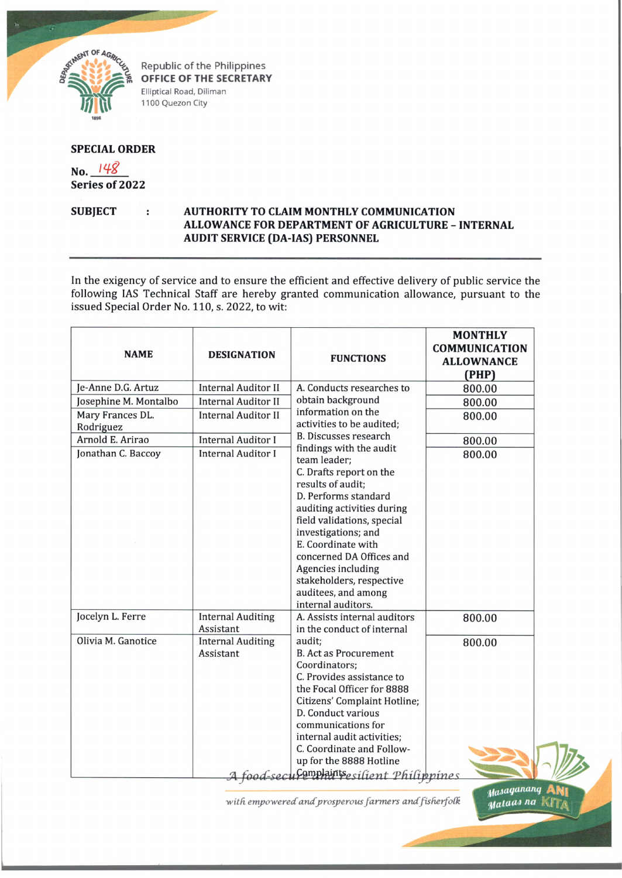

Republic of the Philippines OFFICE OF THE SECRETARY Elliptical Road, Diliman 1100 Quezon City

## **SPECIAL ORDER**

No. 148 Series of 2022

## **SUBJECT** AUTHORITY TO CLAIM MONTHLY COMMUNICATION ÷ ALLOWANCE FOR DEPARTMENT OF AGRICULTURE - INTERNAL **AUDIT SERVICE (DA-IAS) PERSONNEL**

In the exigency of service and to ensure the efficient and effective delivery of public service the following IAS Technical Staff are hereby granted communication allowance, pursuant to the issued Special Order No. 110, s. 2022, to wit:

| <b>NAME</b>                   | <b>DESIGNATION</b>                    | <b>FUNCTIONS</b>                                                                                                                                                                                                                                                                                                                                    | <b>MONTHLY</b><br><b>COMMUNICATION</b><br><b>ALLOWNANCE</b><br>(PHP) |
|-------------------------------|---------------------------------------|-----------------------------------------------------------------------------------------------------------------------------------------------------------------------------------------------------------------------------------------------------------------------------------------------------------------------------------------------------|----------------------------------------------------------------------|
| Je-Anne D.G. Artuz            | <b>Internal Auditor II</b>            | A. Conducts researches to                                                                                                                                                                                                                                                                                                                           | 800.00                                                               |
| Josephine M. Montalbo         | <b>Internal Auditor II</b>            | obtain background                                                                                                                                                                                                                                                                                                                                   | 800.00                                                               |
| Mary Frances DL.<br>Rodriguez | <b>Internal Auditor II</b>            | information on the<br>activities to be audited;                                                                                                                                                                                                                                                                                                     | 800.00                                                               |
| Arnold E. Arirao              | <b>Internal Auditor I</b>             | <b>B. Discusses research</b>                                                                                                                                                                                                                                                                                                                        | 800.00                                                               |
| Jonathan C. Baccoy            | <b>Internal Auditor I</b>             | findings with the audit<br>team leader;<br>C. Drafts report on the<br>results of audit;<br>D. Performs standard<br>auditing activities during<br>field validations, special<br>investigations; and<br>E. Coordinate with<br>concerned DA Offices and<br>Agencies including<br>stakeholders, respective<br>auditees, and among<br>internal auditors. | 800.00                                                               |
| Jocelyn L. Ferre              | <b>Internal Auditing</b><br>Assistant | A. Assists internal auditors<br>in the conduct of internal                                                                                                                                                                                                                                                                                          | 800.00                                                               |
| Olivia M. Ganotice            | <b>Internal Auditing</b><br>Assistant | audit;<br><b>B. Act as Procurement</b><br>Coordinators;<br>C. Provides assistance to<br>the Focal Officer for 8888<br>Citizens' Complaint Hotline;<br>D. Conduct various<br>communications for<br>internal audit activities;<br>C. Coordinate and Follow-<br>up for the 8888 Hotline<br><u>A food-seculemplaintsesilient Philippines</u>            | 800.00                                                               |

with empowered and prosperous farmers and fisherfolk

Masaganang

Mataas na